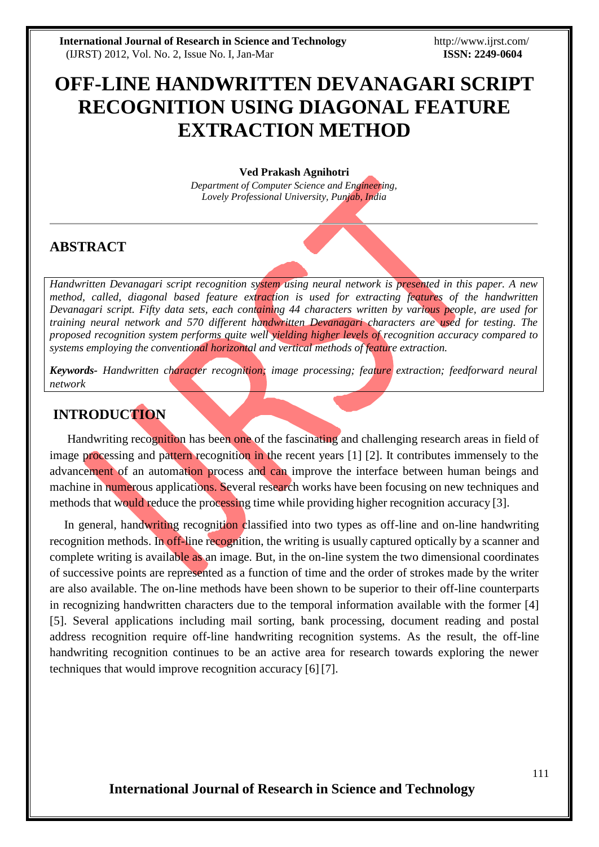# **OFF-LINE HANDWRITTEN DEVANAGARI SCRIPT RECOGNITION USING DIAGONAL FEATURE EXTRACTION METHOD**

#### **Ved Prakash Agnihotri**

*Department of Computer Science and Engineering, Lovely Professional University, Punjab, India*

# **ABSTRACT**

*Handwritten Devanagari script recognition system using neural network is presented in this paper. A new method, called, diagonal based feature extraction is used for extracting features of the handwritten Devanagari script. Fifty data sets, each containing 44 characters written by various people, are used for training neural network and 570 different handwritten Devanagari characters are used for testing. The proposed recognition system performs quite well yielding higher levels of recognition accuracy compared to systems employing the conventional horizontal and vertical methods of feature extraction.*

*Keywords- Handwritten character recognition; image processing; feature extraction; feedforward neural network*

### **INTRODUCTION**

Handwriting recognition has been one of the fascinating and challenging research areas in field of image processing and pattern recognition in the recent years [1] [2]. It contributes immensely to the advancement of an automation process and can improve the interface between human beings and machine in numerous applications. Several research works have been focusing on new techniques and methods that would reduce the processing time while providing higher recognition accuracy [3].

In general, handwriting recognition classified into two types as off-line and on-line handwriting recognition methods. In off-line recognition, the writing is usually captured optically by a scanner and complete writing is available as an image. But, in the on-line system the two dimensional coordinates of successive points are represented as a function of time and the order of strokes made by the writer are also available. The on-line methods have been shown to be superior to their off-line counterparts in recognizing handwritten characters due to the temporal information available with the former [4] [5]. Several applications including mail sorting, bank processing, document reading and postal address recognition require off-line handwriting recognition systems. As the result, the off-line handwriting recognition continues to be an active area for research towards exploring the newer techniques that would improve recognition accuracy [6] [7].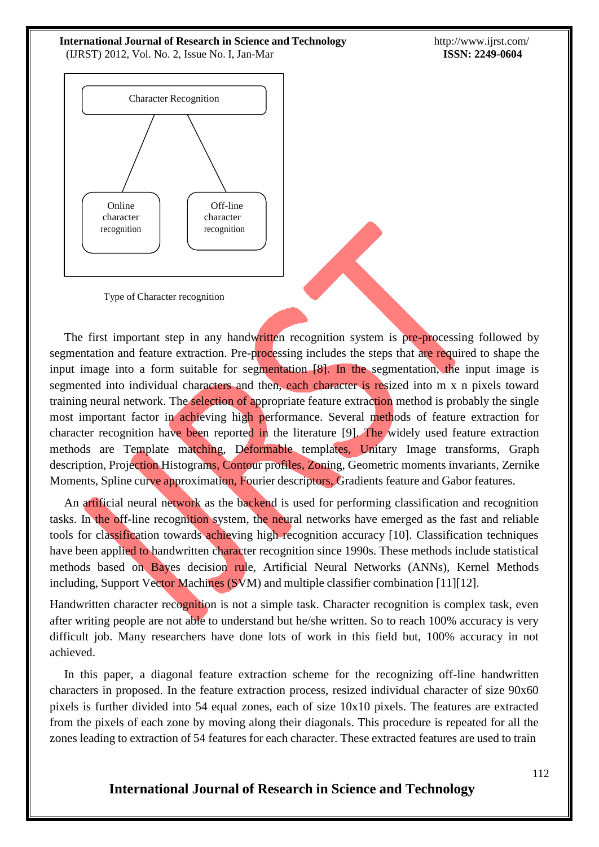http://www.ijrst.com/ **ISSN: 2249-0604**



Type of Character recognition

The first important step in any handwritten recognition system is pre-processing followed by segmentation and feature extraction. Pre-processing includes the steps that are required to shape the input image into a form suitable for segmentation [8]. In the segmentation, the input image is segmented into individual characters and then, each character is resized into m x n pixels toward training neural network. The selection of appropriate feature extraction method is probably the single most important factor in achieving high performance. Several methods of feature extraction for character recognition have been reported in the literature [9]. The widely used feature extraction methods are Template matching, Deformable templates, Unitary Image transforms, Graph description, Projection Histograms, Contour profiles, Zoning, Geometric moments invariants, Zernike Moments, Spline curve approximation, Fourier descriptors, Gradients feature and Gabor features.

An artificial neural network as the backend is used for performing classification and recognition tasks. In the off-line recognition system, the neural networks have emerged as the fast and reliable tools for classification towards achieving high recognition accuracy [10]. Classification techniques have been applied to handwritten character recognition since 1990s. These methods include statistical methods based on Bayes decision rule, Artificial Neural Networks (ANNs), Kernel Methods including, Support Vector Machines (SVM) and multiple classifier combination [11][12].

Handwritten character recognition is not a simple task. Character recognition is complex task, even after writing people are not able to understand but he/she written. So to reach 100% accuracy is very difficult job. Many researchers have done lots of work in this field but, 100% accuracy in not achieved.

In this paper, a diagonal feature extraction scheme for the recognizing off-line handwritten characters in proposed. In the feature extraction process, resized individual character of size 90x60 pixels is further divided into 54 equal zones, each of size 10x10 pixels. The features are extracted from the pixels of each zone by moving along their diagonals. This procedure is repeated for all the zones leading to extraction of 54 features for each character. These extracted features are used to train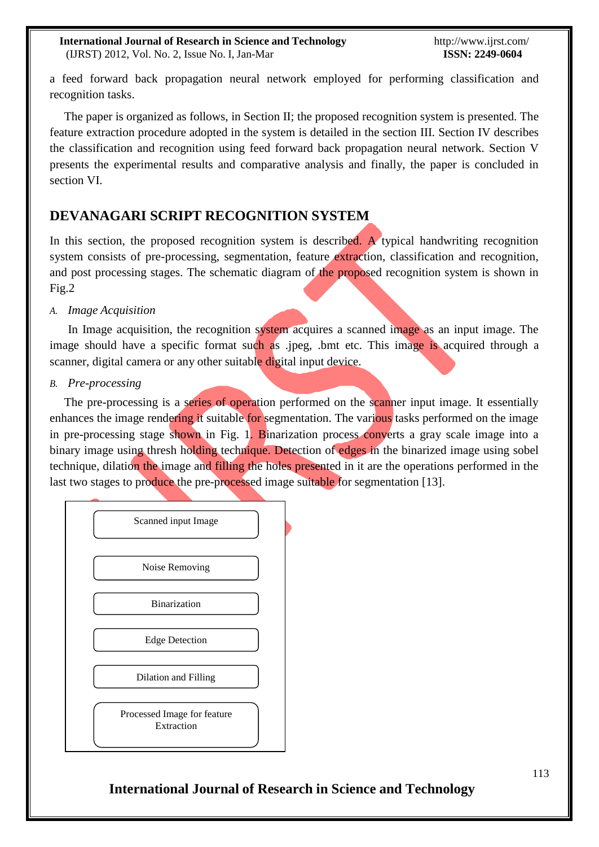a feed forward back propagation neural network employed for performing classification and recognition tasks.

The paper is organized as follows, in Section II; the proposed recognition system is presented. The feature extraction procedure adopted in the system is detailed in the section III. Section IV describes the classification and recognition using feed forward back propagation neural network. Section V presents the experimental results and comparative analysis and finally, the paper is concluded in section VI.

### **DEVANAGARI SCRIPT RECOGNITION SYSTEM**

In this section, the proposed recognition system is described. A typical handwriting recognition system consists of pre-processing, segmentation, feature extraction, classification and recognition, and post processing stages. The schematic diagram of the proposed recognition system is shown in Fig.2

#### *A. Image Acquisition*

In Image acquisition, the recognition system acquires a scanned image as an input image. The image should have a specific format such as .jpeg, .bmt etc. This image is acquired through a scanner, digital camera or any other suitable digital input device.

#### *B. Pre-processing*

The pre-processing is a series of operation performed on the scanner input image. It essentially enhances the image rendering it suitable for segmentation. The various tasks performed on the image in pre-processing stage shown in Fig. 1. Binarization process converts a gray scale image into a binary image using thresh holding technique. Detection of edges in the binarized image using sobel technique, dilation the image and filling the holes presented in it are the operations performed in the last two stages to produce the pre-processed image suitable for segmentation [13].

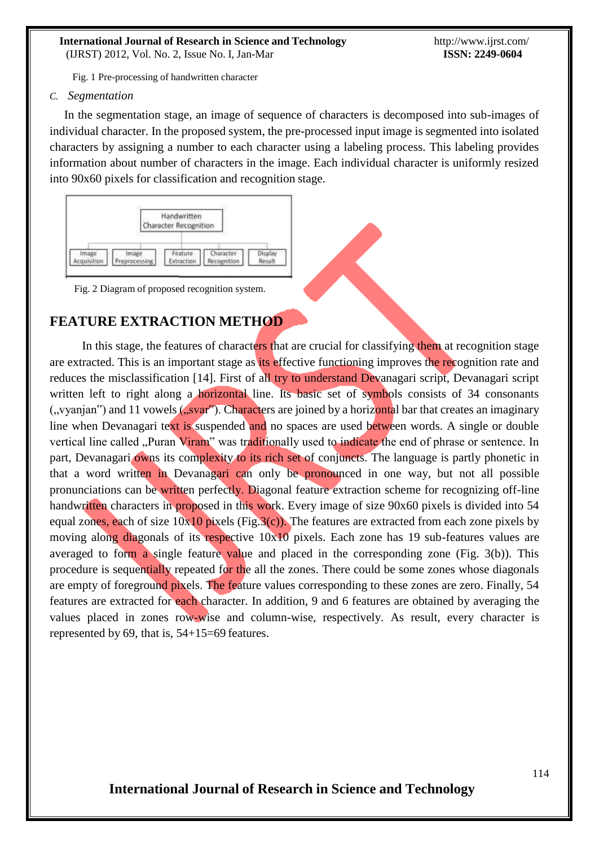Fig. 1 Pre-processing of handwritten character

*C. Segmentation*

In the segmentation stage, an image of sequence of characters is decomposed into sub-images of individual character. In the proposed system, the pre-processed input image is segmented into isolated characters by assigning a number to each character using a labeling process. This labeling provides information about number of characters in the image. Each individual character is uniformly resized into 90x60 pixels for classification and recognition stage.



Fig. 2 Diagram of proposed recognition system.

# **FEATURE EXTRACTION METHOD**

In this stage, the features of characters that are crucial for classifying them at recognition stage are extracted. This is an important stage as its effective functioning improves the recognition rate and reduces the misclassification [14]. First of all try to understand Devanagari script, Devanagari script written left to right along a horizontal line. Its basic set of symbols consists of 34 consonants  $($ , vyanjan") and 11 vowels  $($ , svar"). Characters are joined by a horizontal bar that creates an imaginary line when Devanagari text is suspended and no spaces are used between words. A single or double vertical line called "Puran Viram" was traditionally used to indicate the end of phrase or sentence. In part, Devanagari owns its complexity to its rich set of conjuncts. The language is partly phonetic in that a word written in Devanagari can only be pronounced in one way, but not all possible pronunciations can be written perfectly. Diagonal feature extraction scheme for recognizing off-line handwritten characters in proposed in this work. Every image of size 90x60 pixels is divided into 54 equal zones, each of size  $10x10$  pixels (Fig.3(c)). The features are extracted from each zone pixels by moving along diagonals of its respective 10x10 pixels. Each zone has 19 sub-features values are averaged to form a single feature value and placed in the corresponding zone (Fig.  $3(b)$ ). This procedure is sequentially repeated for the all the zones. There could be some zones whose diagonals are empty of foreground pixels. The feature values corresponding to these zones are zero. Finally, 54 features are extracted for each character. In addition, 9 and 6 features are obtained by averaging the values placed in zones row-wise and column-wise, respectively. As result, every character is represented by 69, that is, 54+15=69 features.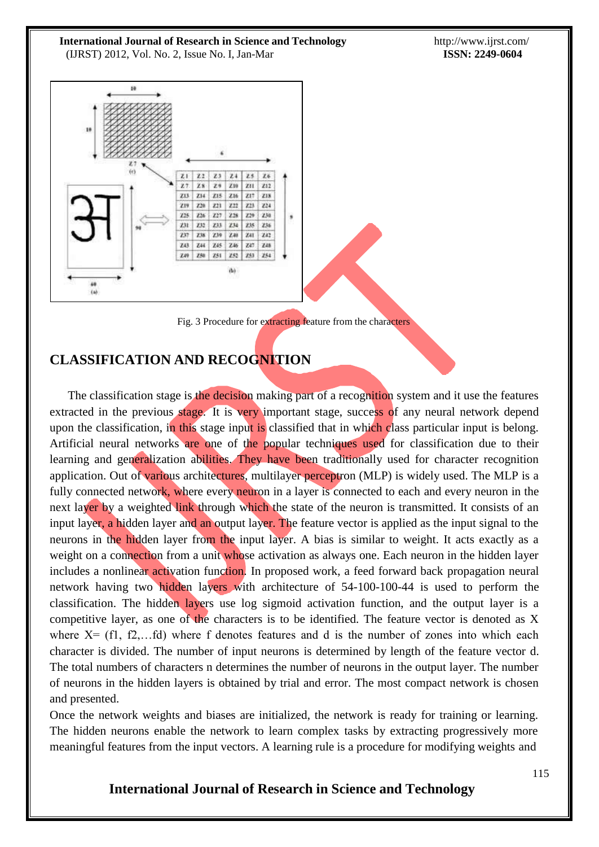http://www.ijrst.com/ **ISSN: 2249-0604**



Fig. 3 Procedure for extracting feature from the characters

# **CLASSIFICATION AND RECOGNITION**

The classification stage is the decision making part of a recognition system and it use the features extracted in the previous stage. It is very important stage, success of any neural network depend upon the classification, in this stage input is classified that in which class particular input is belong. Artificial neural networks are one of the popular techniques used for classification due to their learning and generalization abilities. They have been traditionally used for character recognition application. Out of various architectures, multilayer perceptron (MLP) is widely used. The MLP is a fully connected network, where every neuron in a layer is connected to each and every neuron in the next layer by a weighted link through which the state of the neuron is transmitted. It consists of an input layer, a hidden layer and an output layer. The feature vector is applied as the input signal to the neurons in the hidden layer from the input layer. A bias is similar to weight. It acts exactly as a weight on a connection from a unit whose activation as always one. Each neuron in the hidden layer includes a nonlinear activation function. In proposed work, a feed forward back propagation neural network having two hidden layers with architecture of 54-100-100-44 is used to perform the classification. The hidden layers use log sigmoid activation function, and the output layer is a competitive layer, as one of the characters is to be identified. The feature vector is denoted as X where  $X = (f1, f2, \dots fd)$  where f denotes features and d is the number of zones into which each character is divided. The number of input neurons is determined by length of the feature vector d. The total numbers of characters n determines the number of neurons in the output layer. The number of neurons in the hidden layers is obtained by trial and error. The most compact network is chosen and presented.

Once the network weights and biases are initialized, the network is ready for training or learning. The hidden neurons enable the network to learn complex tasks by extracting progressively more meaningful features from the input vectors. A learning rule is a procedure for modifying weights and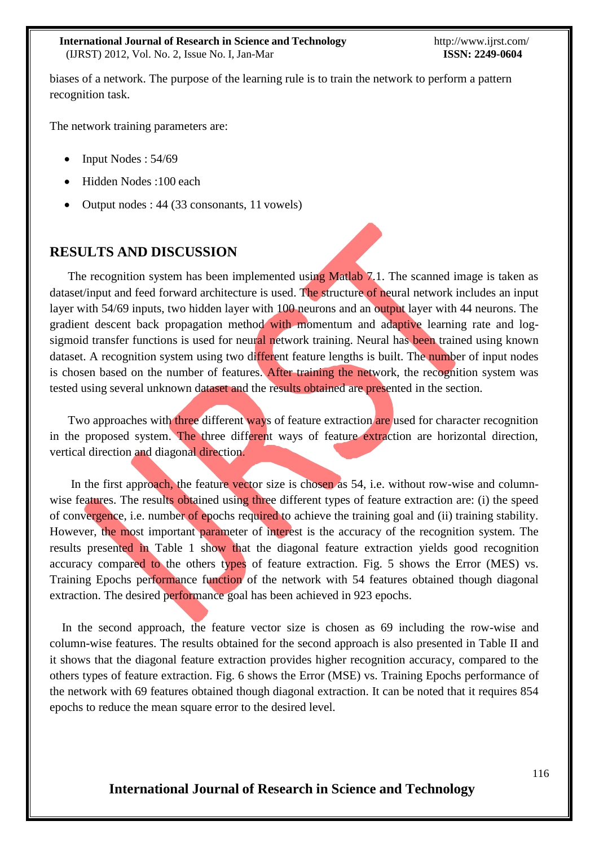biases of a network. The purpose of the learning rule is to train the network to perform a pattern recognition task.

The network training parameters are:

- $\bullet$  Input Nodes : 54/69
- Hidden Nodes :100 each
- Output nodes : 44 (33 consonants, 11 vowels)

# **RESULTS AND DISCUSSION**

The recognition system has been implemented using Matlab 7.1. The scanned image is taken as dataset/input and feed forward architecture is used. The structure of neural network includes an input layer with 54/69 inputs, two hidden layer with 100 neurons and an output layer with 44 neurons. The gradient descent back propagation method with momentum and adaptive learning rate and logsigmoid transfer functions is used for neural network training. Neural has been trained using known dataset. A recognition system using two different feature lengths is built. The number of input nodes is chosen based on the number of features. After training the network, the recognition system was tested using several unknown dataset and the results obtained are presented in the section.

Two approaches with three different ways of feature extraction are used for character recognition in the proposed system. The three different ways of feature extraction are horizontal direction, vertical direction and diagonal direction.

In the first approach, the feature vector size is chosen as 54, i.e. without row-wise and columnwise features. The results obtained using three different types of feature extraction are: (i) the speed of convergence, i.e. number of epochs required to achieve the training goal and (ii) training stability. However, the most important parameter of interest is the accuracy of the recognition system. The results presented in Table 1 show that the diagonal feature extraction yields good recognition accuracy compared to the others types of feature extraction. Fig. 5 shows the Error (MES) vs. Training Epochs performance function of the network with 54 features obtained though diagonal extraction. The desired performance goal has been achieved in 923 epochs.

In the second approach, the feature vector size is chosen as 69 including the row-wise and column-wise features. The results obtained for the second approach is also presented in Table II and it shows that the diagonal feature extraction provides higher recognition accuracy, compared to the others types of feature extraction. Fig. 6 shows the Error (MSE) vs. Training Epochs performance of the network with 69 features obtained though diagonal extraction. It can be noted that it requires 854 epochs to reduce the mean square error to the desired level.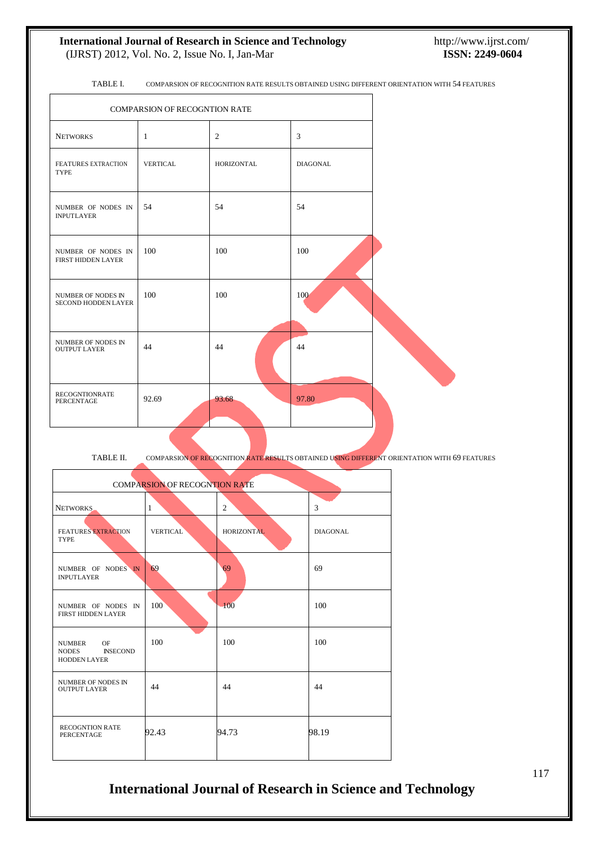TABLE I. COMPARSION OF RECOGNITION RATE RESULTS OBTAINED USING DIFFERENT ORIENTATION WITH 54 FEATURES

| COMPARSION OF RECOGNTION RATE             |              |                |                 |  |
|-------------------------------------------|--------------|----------------|-----------------|--|
| <b>NETWORKS</b>                           | $\mathbf{1}$ | $\overline{2}$ | 3               |  |
| FEATURES EXTRACTION<br><b>TYPE</b>        | VERTICAL     | HORIZONTAL     | <b>DIAGONAL</b> |  |
| NUMBER OF NODES IN<br><b>INPUTLAYER</b>   | 54           | 54             | 54              |  |
| NUMBER OF NODES IN<br>FIRST HIDDEN LAYER  | 100          | 100            | 100             |  |
| NUMBER OF NODES IN<br>SECOND HODDEN LAYER | 100          | 100            | 100             |  |
| NUMBER OF NODES IN<br><b>OUTPUT LAYER</b> | 44           | 44             | 44              |  |
| <b>RECOGNTIONRATE</b><br>PERCENTAGE       | 92.69        | 93.68          | 97.80           |  |

TABLE II. COMPARSION OF RECOGNITION RATE RESULTS OBTAINED USING DIFFERENT ORIENTATION WITH 69 FEATURES

| <b>COMPARSION OF RECOGNTION RATE</b>                                          |                 |                   |                 |  |  |
|-------------------------------------------------------------------------------|-----------------|-------------------|-----------------|--|--|
| NETWORKS                                                                      | $\mathbf{1}$    | $\overline{2}$    | 3               |  |  |
| <b>FEATURES EXTRACTION</b><br><b>TYPE</b>                                     | <b>VERTICAL</b> | <b>HORIZONTAL</b> | <b>DIAGONAL</b> |  |  |
| NUMBER OF NODES IN<br><b>INPUTLAYER</b>                                       | 69              | 69                | 69              |  |  |
| NUMBER OF NODES IN<br><b>FIRST HIDDEN LAYER</b>                               | 100             | 100               | 100             |  |  |
| <b>NUMBER</b><br>OF<br><b>NODES</b><br><b>INSECOND</b><br><b>HODDEN LAYER</b> | 100             | 100               | 100             |  |  |
| <b>NUMBER OF NODES IN</b><br><b>OUTPUT LAYER</b>                              | 44              | 44                | 44              |  |  |
| <b>RECOGNTION RATE</b><br><b>PERCENTAGE</b>                                   | 92.43           | 94.73             | 98.19           |  |  |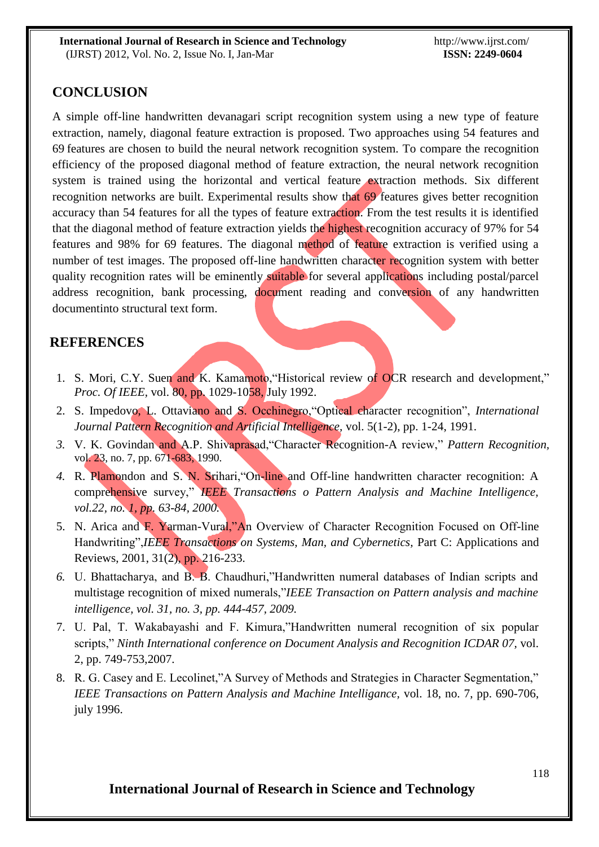# **CONCLUSION**

A simple off-line handwritten devanagari script recognition system using a new type of feature extraction, namely, diagonal feature extraction is proposed. Two approaches using 54 features and 69 features are chosen to build the neural network recognition system. To compare the recognition efficiency of the proposed diagonal method of feature extraction, the neural network recognition system is trained using the horizontal and vertical feature extraction methods. Six different recognition networks are built. Experimental results show that 69 features gives better recognition accuracy than 54 features for all the types of feature extraction. From the test results it is identified that the diagonal method of feature extraction yields the highest recognition accuracy of 97% for 54 features and 98% for 69 features. The diagonal method of feature extraction is verified using a number of test images. The proposed off-line handwritten character recognition system with better quality recognition rates will be eminently suitable for several applications including postal/parcel address recognition, bank processing, document reading and conversion of any handwritten documentinto structural text form.

# **REFERENCES**

- 1. S. Mori, C.Y. Suen and K. Kamamoto, "Historical review of OCR research and development," *Proc. Of IEEE, vol.* 80, pp. 1029-1058, July 1992.
- 2. S. Impedovo, L. Ottaviano and S. Occhinegro,"Optical character recognition", *International Journal Pattern Recognition and Artificial Intelligence,* vol. 5(1-2), pp. 1-24, 1991.
- *3.* V. K. Govindan and A.P. Shivaprasad,"Character Recognition-A review," *Pattern Recognition,* vol. 23, no. 7, pp. 671-683, 1990.
- *4.* R. Plamondon and S. N. Srihari,"On-line and Off-line handwritten character recognition: A comprehensive survey," *IEEE Transactions o Pattern Analysis and Machine Intelligence, vol.22, no. 1, pp. 63-84, 2000.*
- 5. N. Arica and F. Yarman-Vural,"An Overview of Character Recognition Focused on Off-line Handwriting",*IEEE Transactions on Systems, Man, and Cybernetics,* Part C: Applications and Reviews, 2001, 31(2), pp. 216-233.
- *6.* U. Bhattacharya, and B. B. Chaudhuri,"Handwritten numeral databases of Indian scripts and multistage recognition of mixed numerals,"*IEEE Transaction on Pattern analysis and machine intelligence, vol. 31, no. 3, pp. 444-457, 2009.*
- 7. U. Pal, T. Wakabayashi and F. Kimura,"Handwritten numeral recognition of six popular scripts," *Ninth International conference on Document Analysis and Recognition ICDAR 07,* vol. 2, pp. 749-753,2007.
- 8. R. G. Casey and E. Lecolinet,"A Survey of Methods and Strategies in Character Segmentation," *IEEE Transactions on Pattern Analysis and Machine Intelligance,* vol. 18, no. 7, pp. 690-706, july 1996.